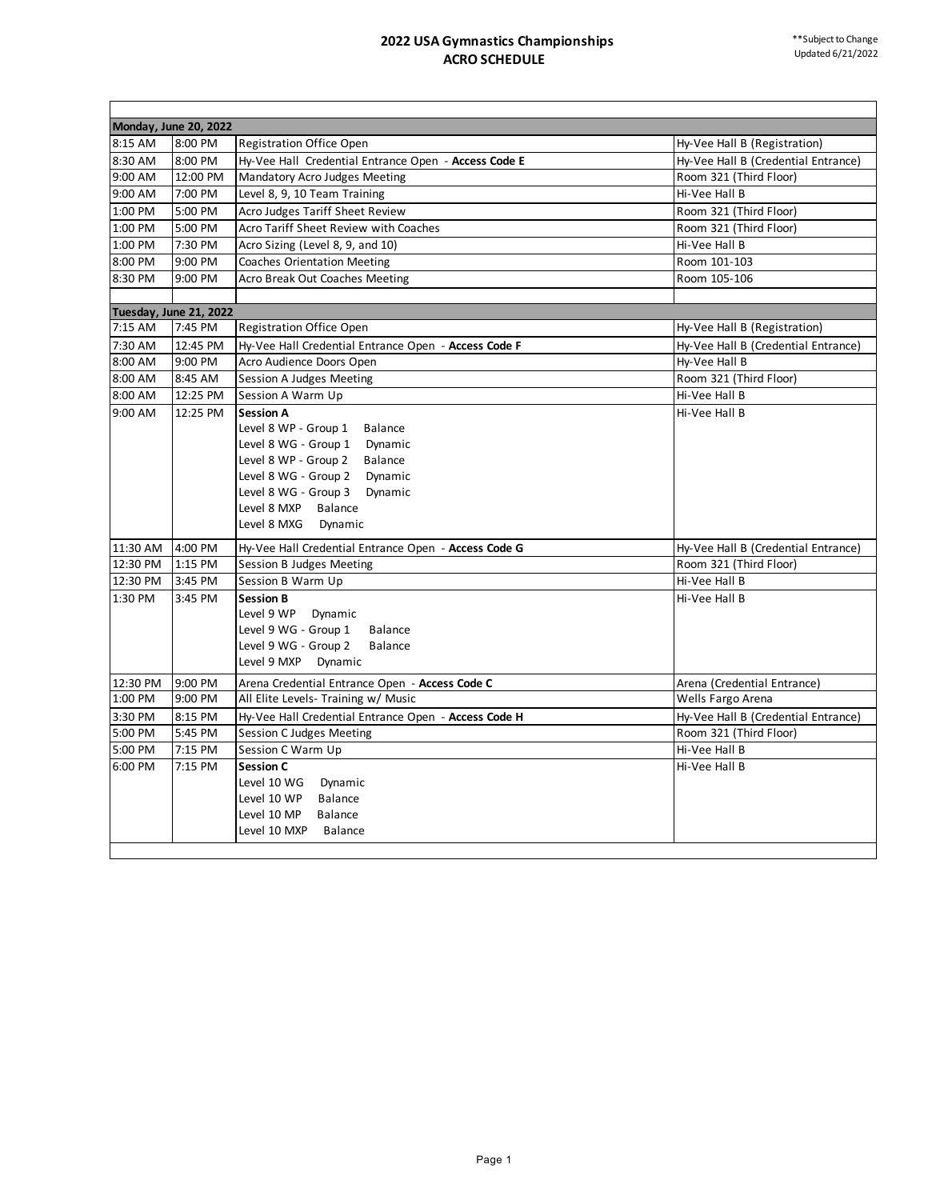|          | Monday, June 20, 2022  |                                                      |                                     |
|----------|------------------------|------------------------------------------------------|-------------------------------------|
| 8:15 AM  | 8:00 PM                | <b>Registration Office Open</b>                      | Hy-Vee Hall B (Registration)        |
| 8:30 AM  | 8:00 PM                | Hy-Vee Hall Credential Entrance Open - Access Code E | Hy-Vee Hall B (Credential Entrance) |
| 9:00 AM  | 12:00 PM               | Mandatory Acro Judges Meeting                        | Room 321 (Third Floor)              |
| 9:00 AM  | 7:00 PM                | Level 8, 9, 10 Team Training                         | Hi-Vee Hall B                       |
| 1:00 PM  | 5:00 PM                | Acro Judges Tariff Sheet Review                      | Room 321 (Third Floor)              |
| 1:00 PM  | 5:00 PM                | Acro Tariff Sheet Review with Coaches                | Room 321 (Third Floor)              |
| 1:00 PM  | 7:30 PM                | Acro Sizing (Level 8, 9, and 10)                     | Hi-Vee Hall B                       |
| 8:00 PM  | 9:00 PM                | <b>Coaches Orientation Meeting</b>                   | Room 101-103                        |
| 8:30 PM  | 9:00 PM                | Acro Break Out Coaches Meeting                       | Room 105-106                        |
|          |                        |                                                      |                                     |
|          | Tuesday, June 21, 2022 |                                                      |                                     |
| 7:15 AM  | 7:45 PM                | <b>Registration Office Open</b>                      | Hy-Vee Hall B (Registration)        |
| 7:30 AM  | 12:45 PM               | Hy-Vee Hall Credential Entrance Open - Access Code F | Hy-Vee Hall B (Credential Entrance) |
| 8:00 AM  | 9:00 PM                | Acro Audience Doors Open                             | Hy-Vee Hall B                       |
| 8:00 AM  | 8:45 AM                | Session A Judges Meeting                             | Room 321 (Third Floor)              |
| 8:00 AM  | 12:25 PM               | Session A Warm Up                                    | Hi-Vee Hall B                       |
| 9:00 AM  | 12:25 PM               | <b>Session A</b>                                     | Hi-Vee Hall B                       |
|          |                        | Level 8 WP - Group 1<br><b>Balance</b>               |                                     |
|          |                        | Level 8 WG - Group 1 Dynamic                         |                                     |
|          |                        | Level 8 WP - Group 2<br>Balance                      |                                     |
|          |                        | Level 8 WG - Group 2 Dynamic                         |                                     |
|          |                        | Level 8 WG - Group 3 Dynamic                         |                                     |
|          |                        | Level 8 MXP<br>Balance                               |                                     |
|          |                        | Level 8 MXG<br>Dynamic                               |                                     |
| 11:30 AM | 4:00 PM                | Hy-Vee Hall Credential Entrance Open - Access Code G | Hy-Vee Hall B (Credential Entrance) |
| 12:30 PM | 1:15 PM                | Session B Judges Meeting                             | Room 321 (Third Floor)              |
| 12:30 PM | 3:45 PM                | Session B Warm Up                                    | Hi-Vee Hall B                       |
| 1:30 PM  | 3:45 PM                | <b>Session B</b>                                     | Hi-Vee Hall B                       |
|          |                        | Level 9 WP<br>Dynamic                                |                                     |
|          |                        | Level 9 WG - Group 1<br>Balance                      |                                     |
|          |                        | Level 9 WG - Group 2<br>Balance                      |                                     |
|          |                        | Level 9 MXP<br>Dynamic                               |                                     |
| 12:30 PM | 9:00 PM                | Arena Credential Entrance Open - Access Code C       | Arena (Credential Entrance)         |
| 1:00 PM  | 9:00 PM                | All Elite Levels- Training w/ Music                  | Wells Fargo Arena                   |
| 3:30 PM  | 8:15 PM                | Hy-Vee Hall Credential Entrance Open - Access Code H | Hy-Vee Hall B (Credential Entrance) |
| 5:00 PM  | 5:45 PM                | <b>Session C Judges Meeting</b>                      | Room 321 (Third Floor)              |
| 5:00 PM  | 7:15 PM                | Session C Warm Up                                    | Hi-Vee Hall B                       |
| 6:00 PM  | 7:15 PM                | <b>Session C</b>                                     | Hi-Vee Hall B                       |
|          |                        | Level 10 WG<br>Dynamic                               |                                     |
|          |                        | Level 10 WP<br><b>Balance</b>                        |                                     |
|          |                        | Level 10 MP<br><b>Balance</b>                        |                                     |
|          |                        | Level 10 MXP<br><b>Balance</b>                       |                                     |
|          |                        |                                                      |                                     |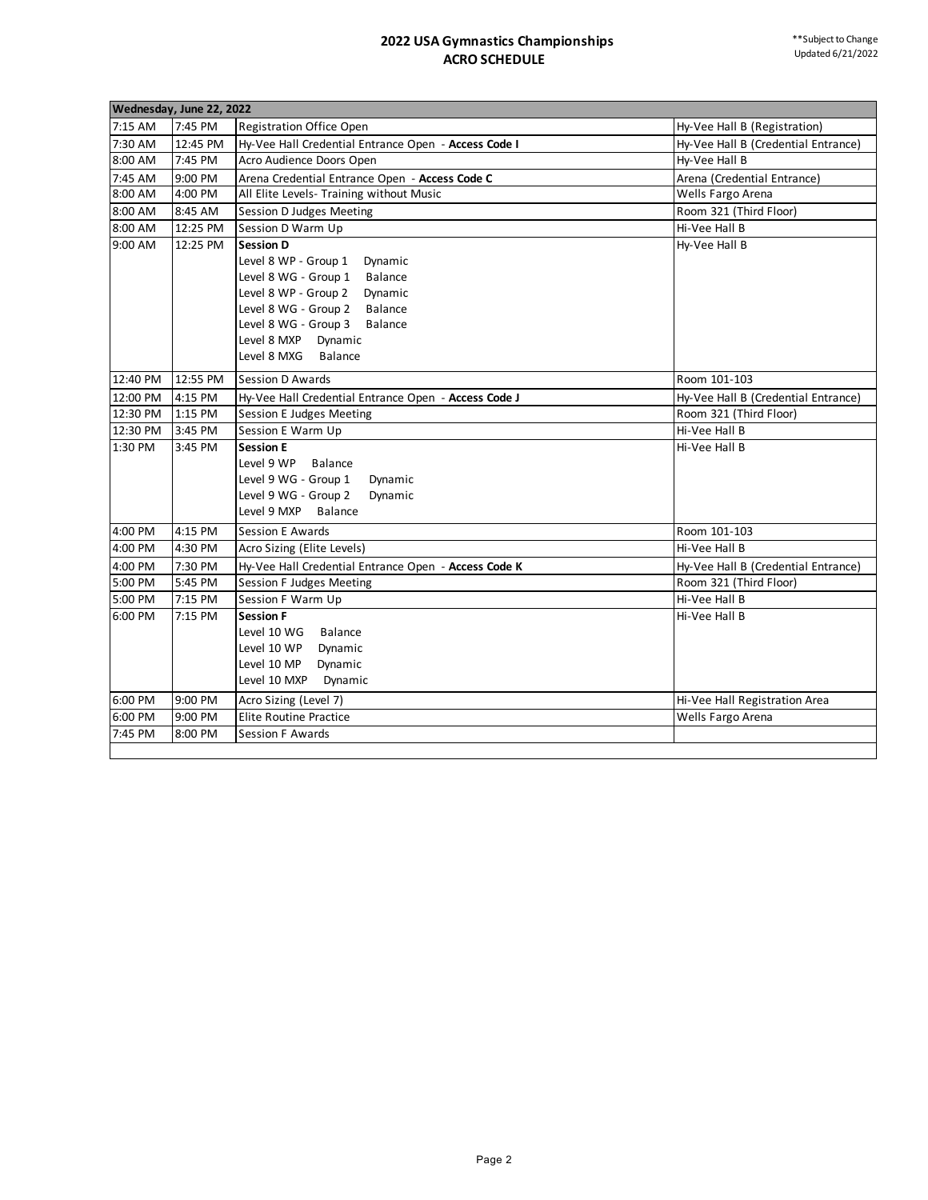| 7:15 AM<br>7:45 PM<br>Registration Office Open<br>Hy-Vee Hall B (Registration)<br>7:30 AM<br>12:45 PM<br>Hy-Vee Hall Credential Entrance Open - Access Code I<br>Hy-Vee Hall B (Credential Entrance)<br>8:00 AM<br>7:45 PM<br>Acro Audience Doors Open<br>Hy-Vee Hall B<br>7:45 AM<br>9:00 PM<br>Arena Credential Entrance Open - Access Code C<br>Arena (Credential Entrance)<br>4:00 PM<br>All Elite Levels- Training without Music<br>8:00 AM<br>Wells Fargo Arena<br>8:00 AM<br>8:45 AM<br>Session D Judges Meeting<br>Room 321 (Third Floor)<br>8:00 AM<br>12:25 PM<br>Session D Warm Up<br>Hi-Vee Hall B<br>9:00 AM<br>12:25 PM<br><b>Session D</b><br>Hy-Vee Hall B<br>Level 8 WP - Group 1<br>Dynamic<br>Level 8 WG - Group 1<br>Balance<br>Level 8 WP - Group 2<br>Dynamic<br>Level 8 WG - Group 2 Balance<br>Level 8 WG - Group 3 Balance<br>Level 8 MXP<br>Dynamic<br>Level 8 MXG<br><b>Balance</b><br>12:55 PM<br>12:40 PM<br>Session D Awards<br>Room 101-103<br>12:00 PM<br>4:15 PM<br>Hy-Vee Hall Credential Entrance Open - Access Code J<br>Hy-Vee Hall B (Credential Entrance)<br>12:30 PM<br>1:15 PM<br>Session E Judges Meeting<br>Room 321 (Third Floor)<br>12:30 PM<br>Session E Warm Up<br>Hi-Vee Hall B<br>3:45 PM<br>1:30 PM<br>3:45 PM<br><b>Session E</b><br>Hi-Vee Hall B<br>Level 9 WP<br><b>Balance</b><br>Level 9 WG - Group 1<br>Dynamic<br>Level 9 WG - Group 2<br>Dynamic<br>Level 9 MXP<br>Balance<br>4:00 PM<br>4:15 PM<br><b>Session E Awards</b><br>Room 101-103<br>4:00 PM<br>4:30 PM<br>Hi-Vee Hall B<br>Acro Sizing (Elite Levels)<br>4:00 PM<br>7:30 PM<br>Hy-Vee Hall Credential Entrance Open - Access Code K<br>Hy-Vee Hall B (Credential Entrance)<br>5:00 PM<br>5:45 PM<br>Session F Judges Meeting<br>Room 321 (Third Floor)<br>5:00 PM<br>7:15 PM<br>Session F Warm Up<br>Hi-Vee Hall B<br>6:00 PM<br>7:15 PM<br><b>Session F</b><br>Hi-Vee Hall B<br>Level 10 WG<br><b>Balance</b><br>Level 10 WP<br>Dynamic<br>Level 10 MP<br>Dynamic<br>Level 10 MXP<br>Dynamic<br>6:00 PM<br>9:00 PM<br>Acro Sizing (Level 7)<br>Hi-Vee Hall Registration Area<br>6:00 PM<br>9:00 PM<br><b>Elite Routine Practice</b><br>Wells Fargo Arena<br>7:45 PM<br>8:00 PM<br>Session F Awards | Wednesday, June 22, 2022 |  |  |  |  |
|---------------------------------------------------------------------------------------------------------------------------------------------------------------------------------------------------------------------------------------------------------------------------------------------------------------------------------------------------------------------------------------------------------------------------------------------------------------------------------------------------------------------------------------------------------------------------------------------------------------------------------------------------------------------------------------------------------------------------------------------------------------------------------------------------------------------------------------------------------------------------------------------------------------------------------------------------------------------------------------------------------------------------------------------------------------------------------------------------------------------------------------------------------------------------------------------------------------------------------------------------------------------------------------------------------------------------------------------------------------------------------------------------------------------------------------------------------------------------------------------------------------------------------------------------------------------------------------------------------------------------------------------------------------------------------------------------------------------------------------------------------------------------------------------------------------------------------------------------------------------------------------------------------------------------------------------------------------------------------------------------------------------------------------------------------------------------------------------------------------------------------------------------------------------------------------------------------------------------|--------------------------|--|--|--|--|
|                                                                                                                                                                                                                                                                                                                                                                                                                                                                                                                                                                                                                                                                                                                                                                                                                                                                                                                                                                                                                                                                                                                                                                                                                                                                                                                                                                                                                                                                                                                                                                                                                                                                                                                                                                                                                                                                                                                                                                                                                                                                                                                                                                                                                           |                          |  |  |  |  |
|                                                                                                                                                                                                                                                                                                                                                                                                                                                                                                                                                                                                                                                                                                                                                                                                                                                                                                                                                                                                                                                                                                                                                                                                                                                                                                                                                                                                                                                                                                                                                                                                                                                                                                                                                                                                                                                                                                                                                                                                                                                                                                                                                                                                                           |                          |  |  |  |  |
|                                                                                                                                                                                                                                                                                                                                                                                                                                                                                                                                                                                                                                                                                                                                                                                                                                                                                                                                                                                                                                                                                                                                                                                                                                                                                                                                                                                                                                                                                                                                                                                                                                                                                                                                                                                                                                                                                                                                                                                                                                                                                                                                                                                                                           |                          |  |  |  |  |
|                                                                                                                                                                                                                                                                                                                                                                                                                                                                                                                                                                                                                                                                                                                                                                                                                                                                                                                                                                                                                                                                                                                                                                                                                                                                                                                                                                                                                                                                                                                                                                                                                                                                                                                                                                                                                                                                                                                                                                                                                                                                                                                                                                                                                           |                          |  |  |  |  |
|                                                                                                                                                                                                                                                                                                                                                                                                                                                                                                                                                                                                                                                                                                                                                                                                                                                                                                                                                                                                                                                                                                                                                                                                                                                                                                                                                                                                                                                                                                                                                                                                                                                                                                                                                                                                                                                                                                                                                                                                                                                                                                                                                                                                                           |                          |  |  |  |  |
|                                                                                                                                                                                                                                                                                                                                                                                                                                                                                                                                                                                                                                                                                                                                                                                                                                                                                                                                                                                                                                                                                                                                                                                                                                                                                                                                                                                                                                                                                                                                                                                                                                                                                                                                                                                                                                                                                                                                                                                                                                                                                                                                                                                                                           |                          |  |  |  |  |
|                                                                                                                                                                                                                                                                                                                                                                                                                                                                                                                                                                                                                                                                                                                                                                                                                                                                                                                                                                                                                                                                                                                                                                                                                                                                                                                                                                                                                                                                                                                                                                                                                                                                                                                                                                                                                                                                                                                                                                                                                                                                                                                                                                                                                           |                          |  |  |  |  |
|                                                                                                                                                                                                                                                                                                                                                                                                                                                                                                                                                                                                                                                                                                                                                                                                                                                                                                                                                                                                                                                                                                                                                                                                                                                                                                                                                                                                                                                                                                                                                                                                                                                                                                                                                                                                                                                                                                                                                                                                                                                                                                                                                                                                                           |                          |  |  |  |  |
|                                                                                                                                                                                                                                                                                                                                                                                                                                                                                                                                                                                                                                                                                                                                                                                                                                                                                                                                                                                                                                                                                                                                                                                                                                                                                                                                                                                                                                                                                                                                                                                                                                                                                                                                                                                                                                                                                                                                                                                                                                                                                                                                                                                                                           |                          |  |  |  |  |
|                                                                                                                                                                                                                                                                                                                                                                                                                                                                                                                                                                                                                                                                                                                                                                                                                                                                                                                                                                                                                                                                                                                                                                                                                                                                                                                                                                                                                                                                                                                                                                                                                                                                                                                                                                                                                                                                                                                                                                                                                                                                                                                                                                                                                           |                          |  |  |  |  |
|                                                                                                                                                                                                                                                                                                                                                                                                                                                                                                                                                                                                                                                                                                                                                                                                                                                                                                                                                                                                                                                                                                                                                                                                                                                                                                                                                                                                                                                                                                                                                                                                                                                                                                                                                                                                                                                                                                                                                                                                                                                                                                                                                                                                                           |                          |  |  |  |  |
|                                                                                                                                                                                                                                                                                                                                                                                                                                                                                                                                                                                                                                                                                                                                                                                                                                                                                                                                                                                                                                                                                                                                                                                                                                                                                                                                                                                                                                                                                                                                                                                                                                                                                                                                                                                                                                                                                                                                                                                                                                                                                                                                                                                                                           |                          |  |  |  |  |
|                                                                                                                                                                                                                                                                                                                                                                                                                                                                                                                                                                                                                                                                                                                                                                                                                                                                                                                                                                                                                                                                                                                                                                                                                                                                                                                                                                                                                                                                                                                                                                                                                                                                                                                                                                                                                                                                                                                                                                                                                                                                                                                                                                                                                           |                          |  |  |  |  |
|                                                                                                                                                                                                                                                                                                                                                                                                                                                                                                                                                                                                                                                                                                                                                                                                                                                                                                                                                                                                                                                                                                                                                                                                                                                                                                                                                                                                                                                                                                                                                                                                                                                                                                                                                                                                                                                                                                                                                                                                                                                                                                                                                                                                                           |                          |  |  |  |  |
|                                                                                                                                                                                                                                                                                                                                                                                                                                                                                                                                                                                                                                                                                                                                                                                                                                                                                                                                                                                                                                                                                                                                                                                                                                                                                                                                                                                                                                                                                                                                                                                                                                                                                                                                                                                                                                                                                                                                                                                                                                                                                                                                                                                                                           |                          |  |  |  |  |
|                                                                                                                                                                                                                                                                                                                                                                                                                                                                                                                                                                                                                                                                                                                                                                                                                                                                                                                                                                                                                                                                                                                                                                                                                                                                                                                                                                                                                                                                                                                                                                                                                                                                                                                                                                                                                                                                                                                                                                                                                                                                                                                                                                                                                           |                          |  |  |  |  |
|                                                                                                                                                                                                                                                                                                                                                                                                                                                                                                                                                                                                                                                                                                                                                                                                                                                                                                                                                                                                                                                                                                                                                                                                                                                                                                                                                                                                                                                                                                                                                                                                                                                                                                                                                                                                                                                                                                                                                                                                                                                                                                                                                                                                                           |                          |  |  |  |  |
|                                                                                                                                                                                                                                                                                                                                                                                                                                                                                                                                                                                                                                                                                                                                                                                                                                                                                                                                                                                                                                                                                                                                                                                                                                                                                                                                                                                                                                                                                                                                                                                                                                                                                                                                                                                                                                                                                                                                                                                                                                                                                                                                                                                                                           |                          |  |  |  |  |
|                                                                                                                                                                                                                                                                                                                                                                                                                                                                                                                                                                                                                                                                                                                                                                                                                                                                                                                                                                                                                                                                                                                                                                                                                                                                                                                                                                                                                                                                                                                                                                                                                                                                                                                                                                                                                                                                                                                                                                                                                                                                                                                                                                                                                           |                          |  |  |  |  |
|                                                                                                                                                                                                                                                                                                                                                                                                                                                                                                                                                                                                                                                                                                                                                                                                                                                                                                                                                                                                                                                                                                                                                                                                                                                                                                                                                                                                                                                                                                                                                                                                                                                                                                                                                                                                                                                                                                                                                                                                                                                                                                                                                                                                                           |                          |  |  |  |  |
|                                                                                                                                                                                                                                                                                                                                                                                                                                                                                                                                                                                                                                                                                                                                                                                                                                                                                                                                                                                                                                                                                                                                                                                                                                                                                                                                                                                                                                                                                                                                                                                                                                                                                                                                                                                                                                                                                                                                                                                                                                                                                                                                                                                                                           |                          |  |  |  |  |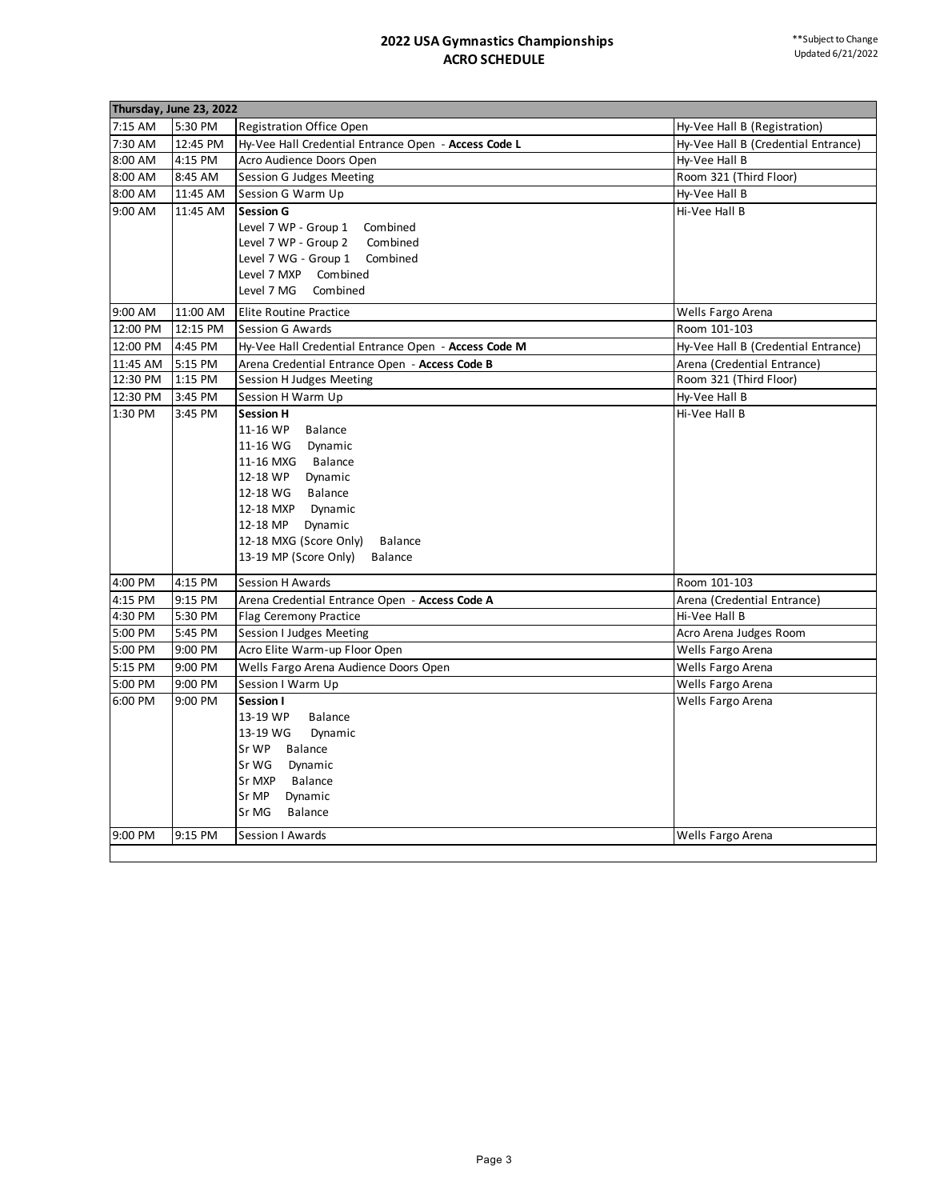|          | Thursday, June 23, 2022 |                                                      |                                     |
|----------|-------------------------|------------------------------------------------------|-------------------------------------|
| 7:15 AM  | 5:30 PM                 | <b>Registration Office Open</b>                      | Hy-Vee Hall B (Registration)        |
| 7:30 AM  | 12:45 PM                | Hy-Vee Hall Credential Entrance Open - Access Code L | Hy-Vee Hall B (Credential Entrance) |
| 8:00 AM  | 4:15 PM                 | Acro Audience Doors Open                             | Hy-Vee Hall B                       |
| 8:00 AM  | 8:45 AM                 | Session G Judges Meeting                             | Room 321 (Third Floor)              |
| 8:00 AM  | 11:45 AM                | Session G Warm Up                                    | Hy-Vee Hall B                       |
| 9:00 AM  | 11:45 AM                | <b>Session G</b>                                     | Hi-Vee Hall B                       |
|          |                         | Level 7 WP - Group 1<br>Combined                     |                                     |
|          |                         | Level 7 WP - Group 2<br>Combined                     |                                     |
|          |                         | Level 7 WG - Group 1 Combined                        |                                     |
|          |                         | Level 7 MXP Combined                                 |                                     |
|          |                         | Level 7 MG<br>Combined                               |                                     |
| 9:00 AM  | 11:00 AM                | <b>Elite Routine Practice</b>                        | Wells Fargo Arena                   |
| 12:00 PM | 12:15 PM                | Session G Awards                                     | Room 101-103                        |
| 12:00 PM | 4:45 PM                 | Hy-Vee Hall Credential Entrance Open - Access Code M | Hy-Vee Hall B (Credential Entrance) |
| 11:45 AM | 5:15 PM                 | Arena Credential Entrance Open - Access Code B       | Arena (Credential Entrance)         |
| 12:30 PM | 1:15 PM                 | Session H Judges Meeting                             | Room 321 (Third Floor)              |
| 12:30 PM | 3:45 PM                 | Session H Warm Up                                    | Hy-Vee Hall B                       |
| 1:30 PM  | 3:45 PM                 | <b>Session H</b>                                     | Hi-Vee Hall B                       |
|          |                         | 11-16 WP<br><b>Balance</b>                           |                                     |
|          |                         | 11-16 WG<br>Dynamic                                  |                                     |
|          |                         | 11-16 MXG Balance                                    |                                     |
|          |                         | 12-18 WP Dynamic                                     |                                     |
|          |                         | 12-18 WG Balance                                     |                                     |
|          |                         | 12-18 MXP Dynamic                                    |                                     |
|          |                         | 12-18 MP Dynamic                                     |                                     |
|          |                         | 12-18 MXG (Score Only)<br><b>Balance</b>             |                                     |
|          |                         | 13-19 MP (Score Only)<br><b>Balance</b>              |                                     |
| 4:00 PM  | 4:15 PM                 | <b>Session H Awards</b>                              | Room 101-103                        |
| 4:15 PM  | 9:15 PM                 | Arena Credential Entrance Open - Access Code A       | Arena (Credential Entrance)         |
| 4:30 PM  | 5:30 PM                 | Flag Ceremony Practice                               | Hi-Vee Hall B                       |
| 5:00 PM  | 5:45 PM                 | Session I Judges Meeting                             | Acro Arena Judges Room              |
| 5:00 PM  | 9:00 PM                 | Acro Elite Warm-up Floor Open                        | Wells Fargo Arena                   |
| 5:15 PM  | 9:00 PM                 | Wells Fargo Arena Audience Doors Open                | Wells Fargo Arena                   |
| 5:00 PM  | 9:00 PM                 | Session I Warm Up                                    | Wells Fargo Arena                   |
| 6:00 PM  | 9:00 PM                 | Session I                                            | Wells Fargo Arena                   |
|          |                         | 13-19 WP<br><b>Balance</b>                           |                                     |
|          |                         | 13-19 WG<br>Dynamic                                  |                                     |
|          |                         | Sr WP<br>Balance                                     |                                     |
|          |                         | Sr WG<br>Dynamic                                     |                                     |
|          |                         | Sr MXP<br>Balance                                    |                                     |
|          |                         | Sr MP<br>Dynamic                                     |                                     |
|          |                         | Sr MG<br>Balance                                     |                                     |
| 9:00 PM  | 9:15 PM                 | Session I Awards                                     | Wells Fargo Arena                   |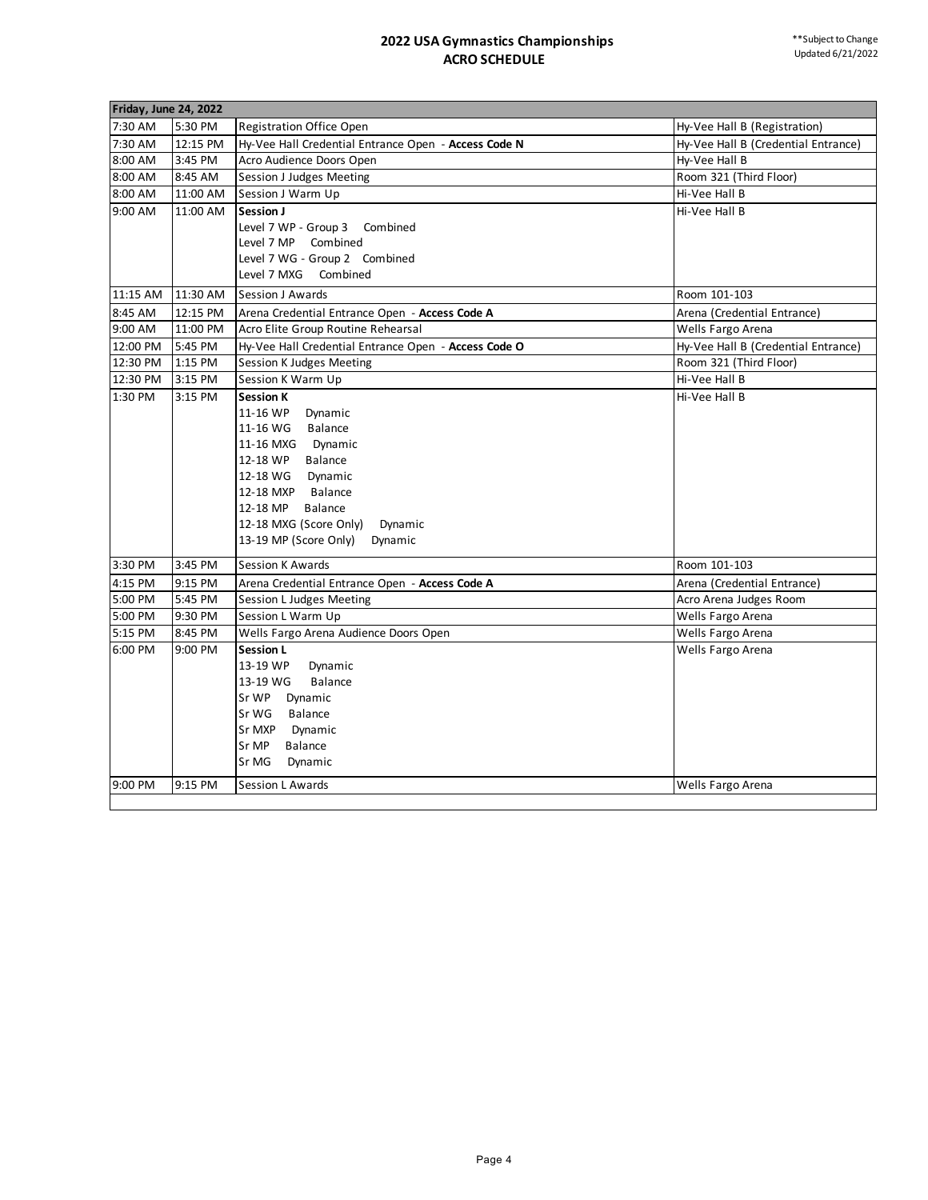| <b>Friday, June 24, 2022</b> |                     |                                                                                  |                                                      |  |  |
|------------------------------|---------------------|----------------------------------------------------------------------------------|------------------------------------------------------|--|--|
| 7:30 AM                      |                     |                                                                                  |                                                      |  |  |
| 7:30 AM                      | 5:30 PM<br>12:15 PM | <b>Registration Office Open</b>                                                  | Hy-Vee Hall B (Registration)                         |  |  |
| 8:00 AM                      | 3:45 PM             | Hy-Vee Hall Credential Entrance Open - Access Code N<br>Acro Audience Doors Open | Hy-Vee Hall B (Credential Entrance)<br>Hy-Vee Hall B |  |  |
| 8:00 AM                      | 8:45 AM             | Session J Judges Meeting                                                         | Room 321 (Third Floor)                               |  |  |
|                              |                     |                                                                                  | Hi-Vee Hall B                                        |  |  |
| 8:00 AM                      | 11:00 AM            | Session J Warm Up                                                                |                                                      |  |  |
| 9:00 AM                      | 11:00 AM            | Session J<br>Level 7 WP - Group 3<br>Combined                                    | Hi-Vee Hall B                                        |  |  |
|                              |                     | Level 7 MP Combined                                                              |                                                      |  |  |
|                              |                     | Level 7 WG - Group 2 Combined                                                    |                                                      |  |  |
|                              |                     | Level 7 MXG Combined                                                             |                                                      |  |  |
|                              |                     |                                                                                  |                                                      |  |  |
| 11:15 AM                     | 11:30 AM            | <b>Session J Awards</b>                                                          | Room 101-103                                         |  |  |
| 8:45 AM                      | 12:15 PM            | Arena Credential Entrance Open - Access Code A                                   | Arena (Credential Entrance)                          |  |  |
| 9:00 AM                      | 11:00 PM            | Acro Elite Group Routine Rehearsal                                               | Wells Fargo Arena                                    |  |  |
| 12:00 PM                     | 5:45 PM             | Hy-Vee Hall Credential Entrance Open - Access Code O                             | Hy-Vee Hall B (Credential Entrance)                  |  |  |
| 12:30 PM                     | 1:15 PM             | Session K Judges Meeting                                                         | Room 321 (Third Floor)                               |  |  |
| 12:30 PM                     | 3:15 PM             | Session K Warm Up                                                                | Hi-Vee Hall B                                        |  |  |
| 1:30 PM                      | 3:15 PM             | <b>Session K</b>                                                                 | Hi-Vee Hall B                                        |  |  |
|                              |                     | 11-16 WP<br>Dynamic                                                              |                                                      |  |  |
|                              |                     | 11-16 WG<br><b>Balance</b>                                                       |                                                      |  |  |
|                              |                     | 11-16 MXG Dynamic                                                                |                                                      |  |  |
|                              |                     | 12-18 WP Balance                                                                 |                                                      |  |  |
|                              |                     | 12-18 WG Dynamic                                                                 |                                                      |  |  |
|                              |                     | 12-18 MXP Balance                                                                |                                                      |  |  |
|                              |                     | 12-18 MP<br>Balance                                                              |                                                      |  |  |
|                              |                     | 12-18 MXG (Score Only)<br>Dynamic                                                |                                                      |  |  |
|                              |                     | 13-19 MP (Score Only)<br>Dynamic                                                 |                                                      |  |  |
| 3:30 PM                      | 3:45 PM             | Session K Awards                                                                 | Room 101-103                                         |  |  |
| 4:15 PM                      | 9:15 PM             | Arena Credential Entrance Open - Access Code A                                   | Arena (Credential Entrance)                          |  |  |
| 5:00 PM                      | 5:45 PM             | Session L Judges Meeting                                                         | Acro Arena Judges Room                               |  |  |
| 5:00 PM                      | 9:30 PM             | Session L Warm Up                                                                | Wells Fargo Arena                                    |  |  |
| 5:15 PM                      | 8:45 PM             | Wells Fargo Arena Audience Doors Open                                            | Wells Fargo Arena                                    |  |  |
| 6:00 PM                      | 9:00 PM             | <b>Session L</b>                                                                 | Wells Fargo Arena                                    |  |  |
|                              |                     | 13-19 WP<br>Dynamic                                                              |                                                      |  |  |
|                              |                     | <b>Balance</b><br>13-19 WG                                                       |                                                      |  |  |
|                              |                     | Sr WP<br>Dynamic                                                                 |                                                      |  |  |
|                              |                     | Sr WG<br>Balance                                                                 |                                                      |  |  |
|                              |                     | Sr MXP<br>Dynamic                                                                |                                                      |  |  |
|                              |                     | Sr MP<br><b>Balance</b>                                                          |                                                      |  |  |
|                              |                     | Sr MG<br>Dynamic                                                                 |                                                      |  |  |
| 9:00 PM                      | 9:15 PM             | <b>Session L Awards</b>                                                          | Wells Fargo Arena                                    |  |  |
|                              |                     |                                                                                  |                                                      |  |  |